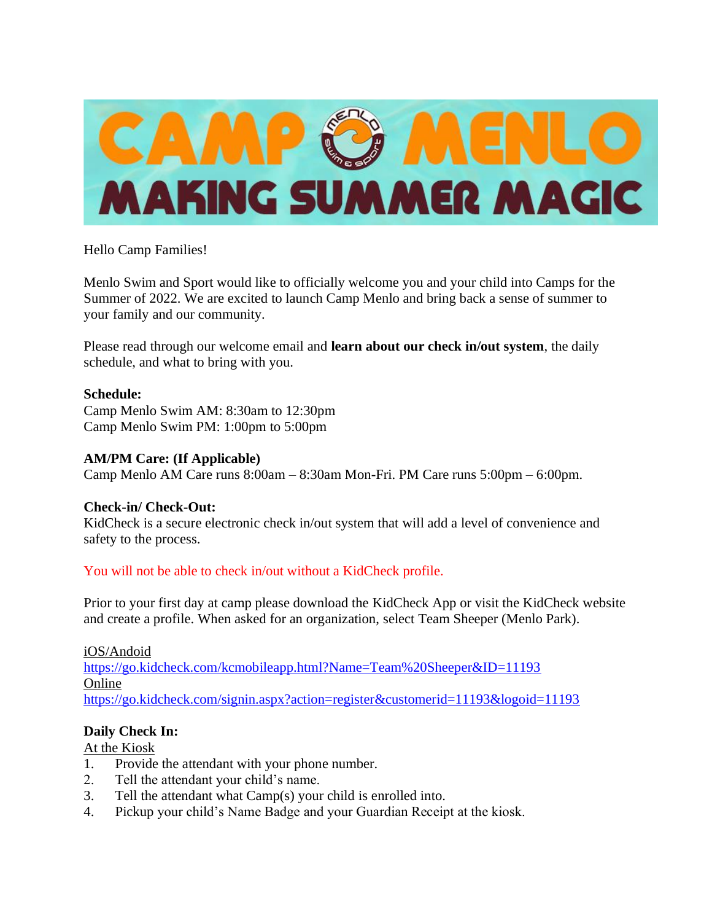

Hello Camp Families!

Menlo Swim and Sport would like to officially welcome you and your child into Camps for the Summer of 2022. We are excited to launch Camp Menlo and bring back a sense of summer to your family and our community.

Please read through our welcome email and **learn about our check in/out system**, the daily schedule, and what to bring with you.

#### **Schedule:**

Camp Menlo Swim AM: 8:30am to 12:30pm Camp Menlo Swim PM: 1:00pm to 5:00pm

#### **AM/PM Care: (If Applicable)**

Camp Menlo AM Care runs 8:00am – 8:30am Mon-Fri. PM Care runs 5:00pm – 6:00pm.

#### **Check-in/ Check-Out:**

KidCheck is a secure electronic check in/out system that will add a level of convenience and safety to the process.

## You will not be able to check in/out without a KidCheck profile.

Prior to your first day at camp please download the KidCheck App or visit the KidCheck website and create a profile. When asked for an organization, select Team Sheeper (Menlo Park).

#### iOS/Andoid

<https://go.kidcheck.com/kcmobileapp.html?Name=Team%20Sheeper&ID=11193> Online <https://go.kidcheck.com/signin.aspx?action=register&customerid=11193&logoid=11193>

## **Daily Check In:**

#### At the Kiosk

- 1. Provide the attendant with your phone number.
- 2. Tell the attendant your child's name.
- 3. Tell the attendant what Camp(s) your child is enrolled into.
- 4. Pickup your child's Name Badge and your Guardian Receipt at the kiosk.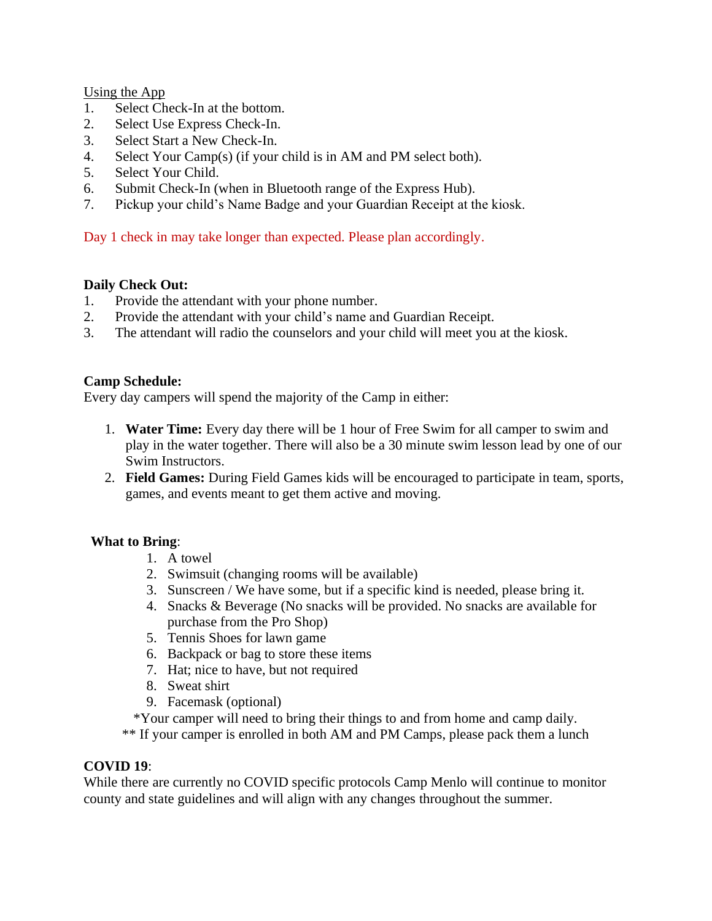Using the App

- 1. Select Check-In at the bottom.
- 2. Select Use Express Check-In.
- 3. Select Start a New Check-In.
- 4. Select Your Camp(s) (if your child is in AM and PM select both).
- 5. Select Your Child.
- 6. Submit Check-In (when in Bluetooth range of the Express Hub).
- 7. Pickup your child's Name Badge and your Guardian Receipt at the kiosk.

Day 1 check in may take longer than expected. Please plan accordingly.

## **Daily Check Out:**

- 1. Provide the attendant with your phone number.
- 2. Provide the attendant with your child's name and Guardian Receipt.
- 3. The attendant will radio the counselors and your child will meet you at the kiosk.

## **Camp Schedule:**

Every day campers will spend the majority of the Camp in either:

- 1. **Water Time:** Every day there will be 1 hour of Free Swim for all camper to swim and play in the water together. There will also be a 30 minute swim lesson lead by one of our Swim Instructors.
- 2. **Field Games:** During Field Games kids will be encouraged to participate in team, sports, games, and events meant to get them active and moving.

# **What to Bring**:

- 1. A towel
- 2. Swimsuit (changing rooms will be available)
- 3. Sunscreen / We have some, but if a specific kind is needed, please bring it.
- 4. Snacks & Beverage (No snacks will be provided. No snacks are available for purchase from the Pro Shop)
- 5. Tennis Shoes for lawn game
- 6. Backpack or bag to store these items
- 7. Hat; nice to have, but not required
- 8. Sweat shirt
- 9. Facemask (optional)

\*Your camper will need to bring their things to and from home and camp daily.

\*\* If your camper is enrolled in both AM and PM Camps, please pack them a lunch

## **COVID 19**:

While there are currently no COVID specific protocols Camp Menlo will continue to monitor county and state guidelines and will align with any changes throughout the summer.